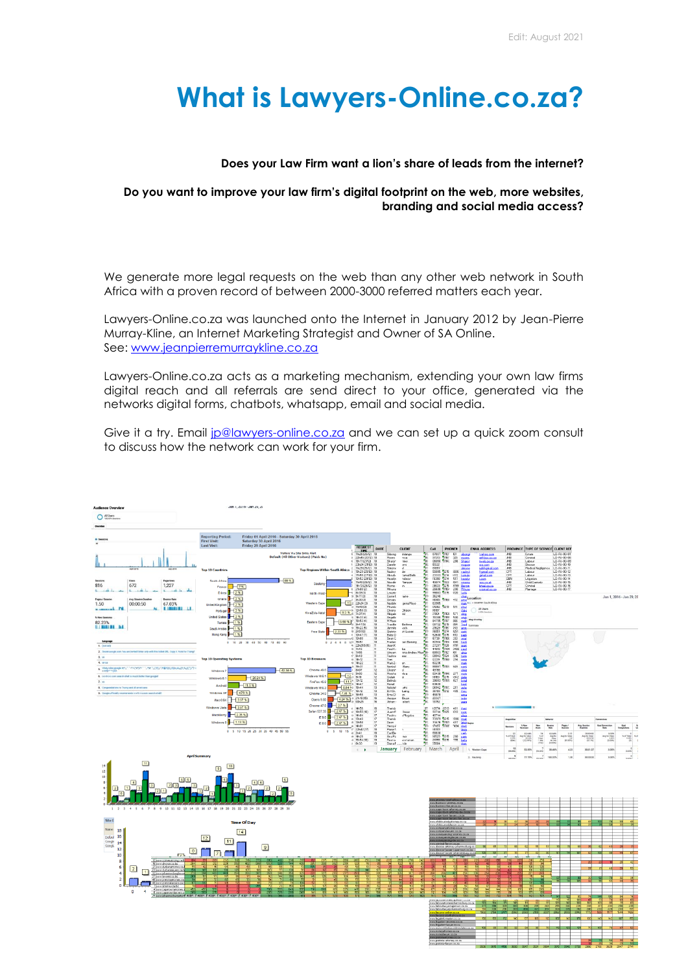# **What is Lawyers-Online.co.za?**

#### **Does your Law Firm want a lion's share of leads from the internet?**

#### **Do you want to improve your law firm's digital footprint on the web, more websites, branding and social media access?**

We generate more legal requests on the web than any other web network in South Africa with a proven record of between 2000-3000 referred matters each year.

Lawyers-Online.co.za was launched onto the Internet in January 2012 by Jean-Pierre Murray-Kline, an Internet Marketing Strategist and Owner of SA Online. See: [www.jeanpierremurraykline.co.za](http://www.jeanpierremurraykline.co.za/)

Lawyers-Online.co.za acts as a marketing mechanism, extending your own law firms digital reach and all referrals are send direct to your office, generated via the networks digital forms, chatbots, whatsapp, email and social media.

Give it a try. Email [jp@lawyers-online.co.za](mailto:jp@lawyers-online.co.za) and we can set up a quick zoom consult to discuss how the network can work for your firm.

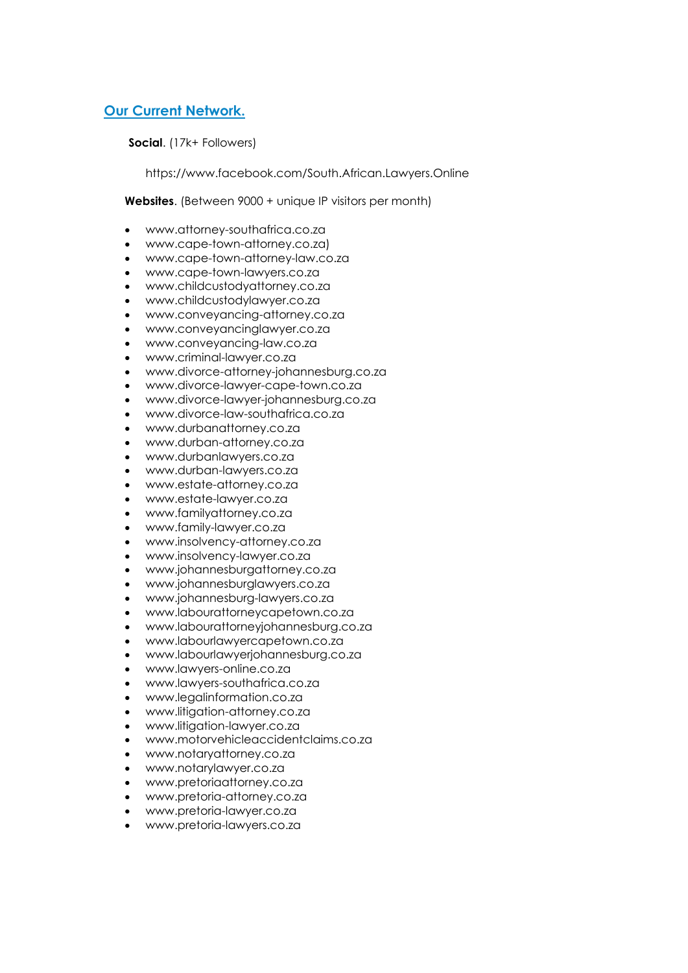# **Our Current Network.**

**Social**. (17k+ Followers)

https://www.facebook.com/South.African.Lawyers.Online

**Websites**. (Between 9000 + unique IP visitors per month)

- www.attorney-southafrica.co.za
- www.cape-town-attorney.co.za)
- www.cape-town-attorney-law.co.za
- www.cape-town-lawyers.co.za
- www.childcustodyattorney.co.za
- www.childcustodylawyer.co.za
- www.conveyancing-attorney.co.za
- www.conveyancinglawyer.co.za
- www.conveyancing-law.co.za
- www.criminal-lawyer.co.za
- www.divorce-attorney-johannesburg.co.za
- www.divorce-lawyer-cape-town.co.za
- www.divorce-lawyer-johannesburg.co.za
- www.divorce-law-southafrica.co.za
- www.durbanattorney.co.za
- www.durban-attorney.co.za
- www.durbanlawyers.co.za
- www.durban-lawyers.co.za
- www.estate-attorney.co.za
- www.estate-lawyer.co.za
- www.familyattorney.co.za
- www.family-lawyer.co.za
- www.insolvency-attorney.co.za
- www.insolvency-lawyer.co.za
- www.johannesburgattorney.co.za
- www.johannesburglawyers.co.za
- www.johannesburg-lawyers.co.za
- www.labourattorneycapetown.co.za
- www.labourattorneyjohannesburg.co.za
- www.labourlawyercapetown.co.za
- www.labourlawyerjohannesburg.co.za
- www.lawyers-online.co.za
- www.lawyers-southafrica.co.za
- www.legalinformation.co.za
- www.litigation-attorney.co.za
- www.litigation-lawyer.co.za
- www.motorvehicleaccidentclaims.co.za
- www.notaryattorney.co.za
- www.notarylawyer.co.za
- www.pretoriaattorney.co.za
- www.pretoria-attorney.co.za
- www.pretoria-lawyer.co.za
- www.pretoria-lawyers.co.za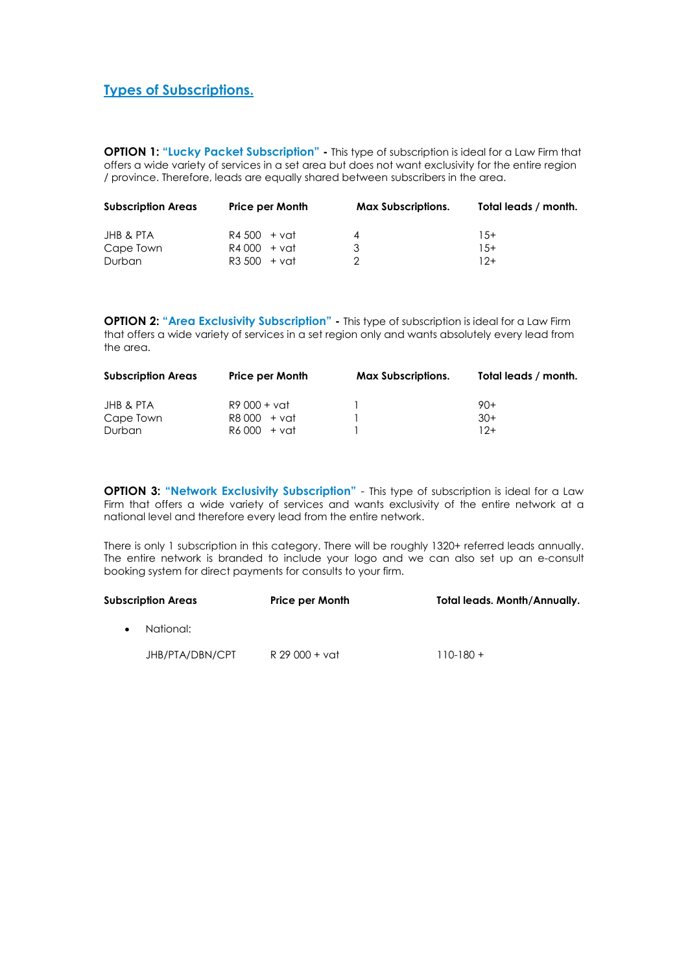# **Types of Subscriptions.**

**OPTION 1: "Lucky Packet Subscription" -** This type of subscription is ideal for a Law Firm that offers a wide variety of services in a set area but does not want exclusivity for the entire region / province. Therefore, leads are equally shared between subscribers in the area.

| <b>Subscription Areas</b> | <b>Price per Month</b> | <b>Max Subscriptions.</b> | Total leads / month. |
|---------------------------|------------------------|---------------------------|----------------------|
| JHB & PTA                 | R4 500 + vat           |                           | $1.5+$               |
| Cape Town                 | R4000 + vat            | २                         | $1.5+$               |
| Durban                    | $R3,500 + vat$         |                           | 12+                  |

**OPTION 2: "Area Exclusivity Subscription" -** This type of subscription is ideal for a Law Firm that offers a wide variety of services in a set region only and wants absolutely every lead from the area.

| <b>Subscription Areas</b> | <b>Price per Month</b> | <b>Max Subscriptions.</b> | Total leads / month. |
|---------------------------|------------------------|---------------------------|----------------------|
| JHB & PTA                 | R9 000 + vat           |                           | $90+$                |
| Cape Town                 | R8000 + vat            |                           | $30+$                |
| <b>Durban</b>             | R6000 + vat            |                           | $12+$                |

**OPTION 3: "Network Exclusivity Subscription"** - This type of subscription is ideal for a Law Firm that offers a wide variety of services and wants exclusivity of the entire network at a national level and therefore every lead from the entire network.

There is only 1 subscription in this category. There will be roughly 1320+ referred leads annually. The entire network is branded to include your logo and we can also set up an e-consult booking system for direct payments for consults to your firm.

| Subscription Areas | <b>Price per Month</b> | <b>Total leads. Month/Annually.</b> |
|--------------------|------------------------|-------------------------------------|
| National:          |                        |                                     |
| JHB/PTA/DBN/CPT    | R 29 000 + vat         | $110 - 180 +$                       |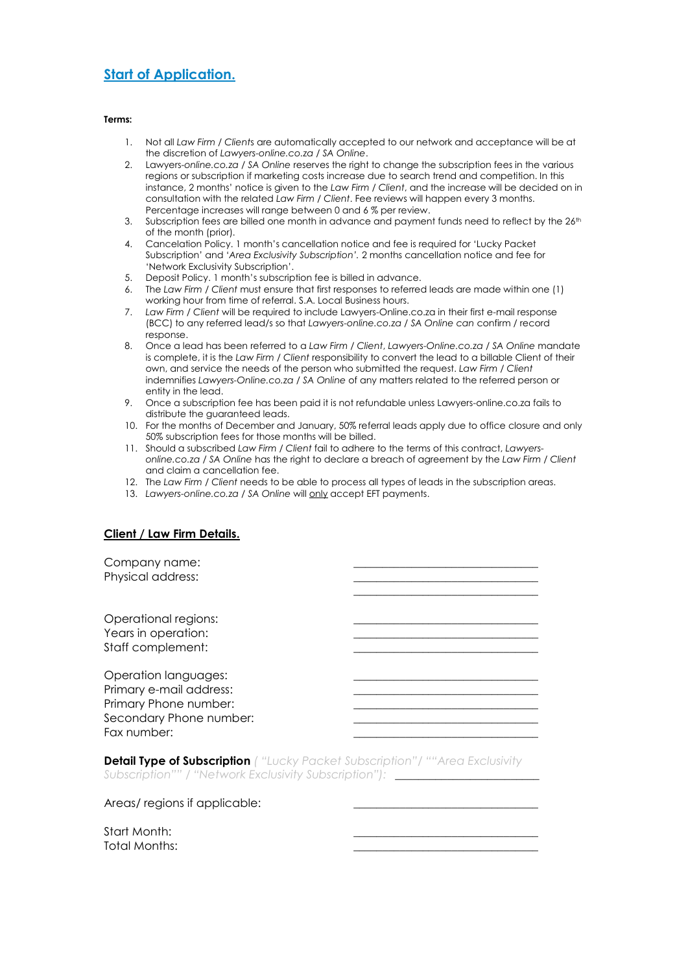# **Start of Application.**

#### **Terms:**

- 1. Not all *Law Firm / Client*s are automatically accepted to our network and acceptance will be at the discretion of *Lawyers-online.co.za / SA Online*.
- 2. Lawyers-*online.co.za / SA Online* reserves the right to change the subscription fees in the various regions or subscription if marketing costs increase due to search trend and competition. In this instance, 2 months' notice is given to the *Law Firm / Client*, and the increase will be decided on in consultation with the related *Law Firm / Client*. Fee reviews will happen every 3 months. Percentage increases will range between 0 and 6 % per review.
- 3. Subscription fees are billed one month in advance and payment funds need to reflect by the 26<sup>th</sup> of the month (prior).
- 4. Cancelation Policy. 1 month's cancellation notice and fee is required for 'Lucky Packet Subscription' and '*Area Exclusivity Subscription'.* 2 months cancellation notice and fee for 'Network Exclusivity Subscription'.
- 5. Deposit Policy. 1 month's subscription fee is billed in advance.
- 6. The *Law Firm / Client* must ensure that first responses to referred leads are made within one (1) working hour from time of referral. S.A. Local Business hours.
- 7. *Law Firm / Client* will be required to include Lawyers-Online.co.za in their first e-mail response (BCC) to any referred lead/s so that *Lawyers-online.co.za / SA Online can* confirm / record response.
- 8. Once a lead has been referred to a *Law Firm / Client*, *Lawyers-Online.co.za / SA Online* mandate is complete, it is the *Law Firm / Client* responsibility to convert the lead to a billable Client of their own, and service the needs of the person who submitted the request. *Law Firm / Client*  indemnifies *Lawyers-Online.co.za / SA Online* of any matters related to the referred person or entity in the lead.
- 9. Once a subscription fee has been paid it is not refundable unless Lawyers-online.co.za fails to distribute the guaranteed leads.
- 10. For the months of December and January, 50% referral leads apply due to office closure and only 50% subscription fees for those months will be billed.
- 11. Should a subscribed *Law Firm / Client* fail to adhere to the terms of this contract, *Lawyersonline.co.za / SA Online* has the right to declare a breach of agreement by the *Law Firm / Client* and claim a cancellation fee.
- 12. The *Law Firm / Client* needs to be able to process all types of leads in the subscription areas.
- 13. *Lawyers-online.co.za / SA Online* will only accept EFT payments.

#### **Client / Law Firm Details.**

Company name: Physical address: \_\_\_\_\_\_\_\_\_\_\_\_\_\_\_\_\_\_\_\_\_\_\_\_\_\_\_\_\_\_\_\_ Operational regions: Years in operation: Staff complement: Operation languages: Primary e-mail address: Primary Phone number: Secondary Phone number: Fax number:

**Detail Type of Subscription** *( "Lucky Packet Subscription"/ ""Area Exclusivity Subscription"" / "Network Exclusivity Subscription"):* \_\_\_\_\_\_\_\_\_\_\_\_\_\_\_\_\_\_\_\_\_\_\_\_\_

Areas/ regions if applicable:

Start Month: Total Months: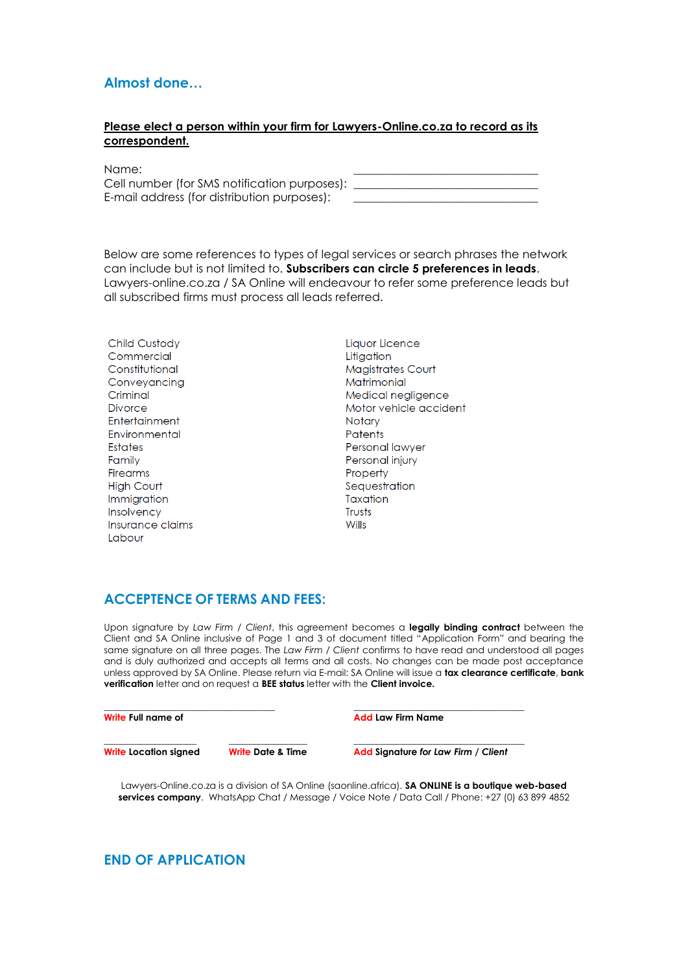# **Almost done…**

#### **Please elect a person within your firm for Lawyers-Online.co.za to record as its correspondent.**

| Name:                                        |  |
|----------------------------------------------|--|
| Cell number (for SMS notification purposes): |  |
| E-mail address (for distribution purposes):  |  |

Below are some references to types of legal services or search phrases the network can include but is not limited to. **Subscribers can circle 5 preferences in leads**. Lawyers-online.co.za / SA Online will endeavour to refer some preference leads but all subscribed firms must process all leads referred.

Child Custody Commercial Constitutional Conveyancing Criminal Divorce **Entertainment** Environmental **Estates** Family **Firearms High Court** Immigration Insolvency Insurance claims **Labour** 

Liquor Licence Litigation Magistrates Court Matrimonial Medical negligence Motor vehicle accident **Notary Patents** Personal lawyer Personal injury Property Sequestration Taxation Truete Wills

# **ACCEPTENCE OF TERMS AND FEES:**

Upon signature by *Law Firm / Client*, this agreement becomes a **legally binding contract** between the Client and SA Online inclusive of Page 1 and 3 of document titled "Application Form" and bearing the same signature on all three pages. The *Law Firm / Client* confirms to have read and understood all pages and is duly authorized and accepts all terms and all costs. No changes can be made post acceptance unless approved by SA Online. Please return via E-mail: SA Online will issue a **tax clearance certificate**, **bank verification** letter and on request a **BEE status** letter with the **Client invoice.** 

| Write Full name of           |                              | <b>Add Law Firm Name</b>            |  |
|------------------------------|------------------------------|-------------------------------------|--|
| <b>Write Location signed</b> | <b>Write Date &amp; Time</b> | Add Signature for Law Firm / Client |  |

Lawyers-Online.co.za is a division of SA Online (saonline.africa). **SA ONLINE is a boutique web-based services company**. WhatsApp Chat / Message / Voice Note / Data Call / Phone: +27 (0) 63 899 4852

# **END OF APPLICATION**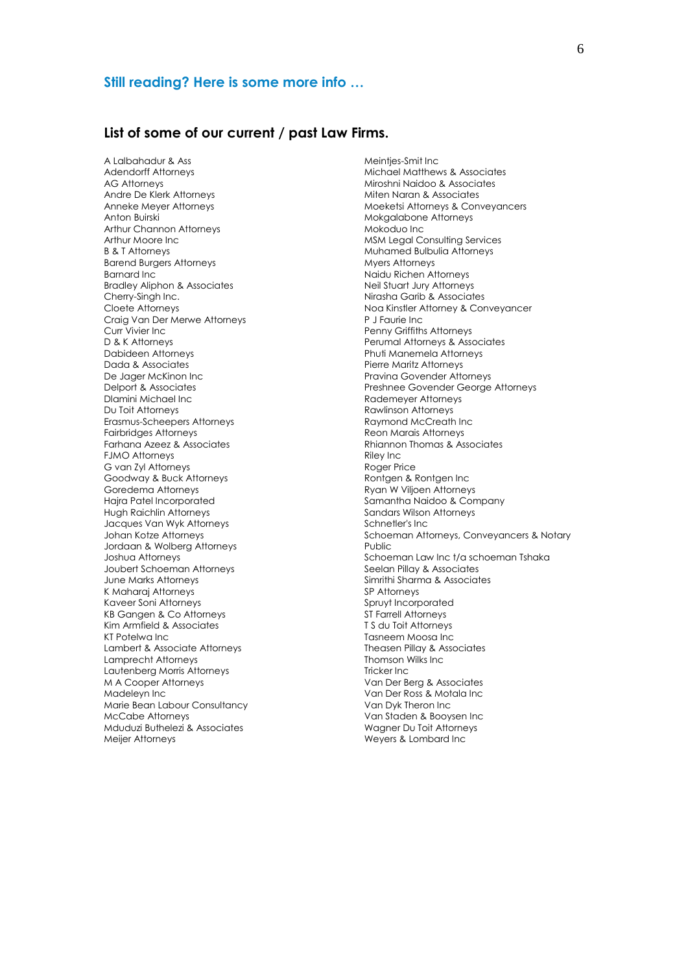### **Still reading? Here is some more info …**

### **List of some of our current / past Law Firms.**

A Lalbahadur & Ass Adendorff Attorneys AG Attorneys Andre De Klerk Attorneys Anneke Meyer Attorneys Anton Buirski Arthur Channon Attorneys Arthur Moore Inc B & T Attorneys Barend Burgers Attorneys Barnard Inc Bradley Aliphon & Associates Cherry-Singh Inc. Cloete Attorneys Craig Van Der Merwe Attorneys Curr Vivier Inc D & K Attorneys Dabideen Attorneys Dada & Associates De Jager McKinon Inc Delport & Associates Dlamini Michael Inc Du Toit Attorneys Erasmus-Scheepers Attorneys Fairbridges Attorneys Farhana Azeez & Associates FJMO Attorneys G van Zyl Attorneys Goodway & Buck Attorneys Goredema Attorneys Hajra Patel Incorporated Hugh Raichlin Attorneys Jacques Van Wyk Attorneys Johan Kotze Attorneys Jordaan & Wolberg Attorneys Joshua Attorneys Joubert Schoeman Attorneys June Marks Attorneys K Maharaj Attorneys Kaveer Soni Attorneys KB Gangen & Co Attorneys Kim Armfield & Associates KT Potelwa Inc Lambert & Associate Attorneys Lamprecht Attorneys Lautenberg Morris Attorneys M A Cooper Attorneys Madeleyn Inc Marie Bean Labour Consultancy McCabe Attorneys Mduduzi Buthelezi & Associates Meijer Attorneys

Meintjes-Smit Inc Michael Matthews & Associates Miroshni Naidoo & Associates Miten Naran & Associates Moeketsi Attorneys & Conveyancers Mokgalabone Attorneys Mokoduo Inc MSM Legal Consulting Services Muhamed Bulbulia Attorneys Myers Attorneys Naidu Richen Attorneys Neil Stuart Jury Attorneys Nirasha Garib & Associates Noa Kinstler Attorney & Conveyancer P J Faurie Inc Penny Griffiths Attorneys Perumal Attorneys & Associates Phuti Manemela Attorneys Pierre Maritz Attorneys Pravina Govender Attorneys Preshnee Govender George Attorneys Rademeyer Attorneys Rawlinson Attorneys Raymond McCreath Inc Reon Marais Attorneys Rhiannon Thomas & Associates Riley Inc Roger Price Rontgen & Rontgen Inc Ryan W Viljoen Attorneys Samantha Naidoo & Company Sandars Wilson Attorneys Schnetler's Inc Schoeman Attorneys, Conveyancers & Notary **Public** Schoeman Law Inc t/a schoeman Tshaka Seelan Pillay & Associates Simrithi Sharma & Associates SP Attorneys Spruyt Incorporated ST Farrell Attorneys T S du Toit Attorneys Tasneem Moosa Inc Theasen Pillay & Associates Thomson Wilks Inc Tricker Inc Van Der Berg & Associates Van Der Ross & Motala Inc Van Dyk Theron Inc Van Staden & Booysen Inc Wagner Du Toit Attorneys Weyers & Lombard Inc